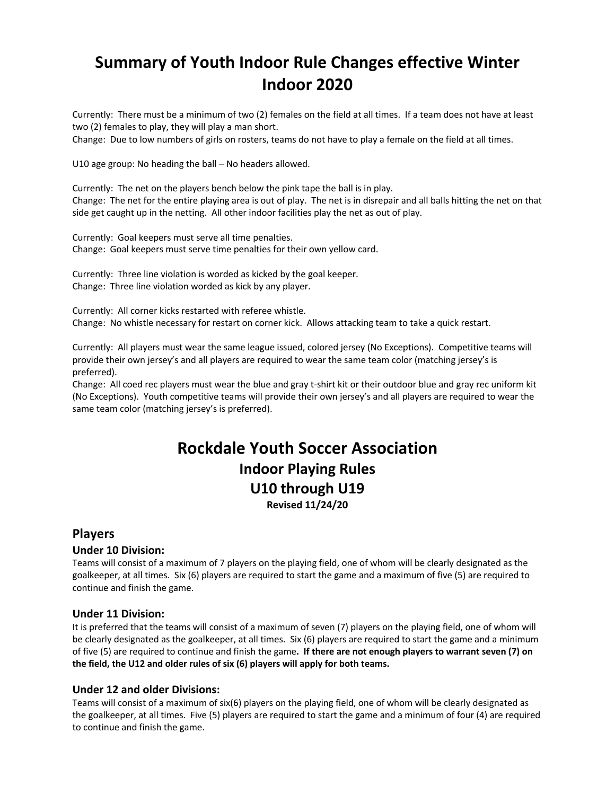# **Summary of Youth Indoor Rule Changes effective Winter Indoor 2020**

Currently: There must be a minimum of two (2) females on the field at all times. If a team does not have at least two (2) females to play, they will play a man short.

Change: Due to low numbers of girls on rosters, teams do not have to play a female on the field at all times.

U10 age group: No heading the ball – No headers allowed.

Currently: The net on the players bench below the pink tape the ball is in play. Change: The net for the entire playing area is out of play. The net is in disrepair and all balls hitting the net on that side get caught up in the netting. All other indoor facilities play the net as out of play.

Currently: Goal keepers must serve all time penalties. Change: Goal keepers must serve time penalties for their own yellow card.

Currently: Three line violation is worded as kicked by the goal keeper. Change: Three line violation worded as kick by any player.

Currently: All corner kicks restarted with referee whistle. Change: No whistle necessary for restart on corner kick. Allows attacking team to take a quick restart.

Currently: All players must wear the same league issued, colored jersey (No Exceptions). Competitive teams will provide their own jersey's and all players are required to wear the same team color (matching jersey's is preferred).

Change: All coed rec players must wear the blue and gray t-shirt kit or their outdoor blue and gray rec uniform kit (No Exceptions). Youth competitive teams will provide their own jersey's and all players are required to wear the same team color (matching jersey's is preferred).

## **Rockdale Youth Soccer Association Indoor Playing Rules U10 through U19 Revised 11/24/20**

## **Players**

## **Under 10 Division:**

Teams will consist of a maximum of 7 players on the playing field, one of whom will be clearly designated as the goalkeeper, at all times. Six (6) players are required to start the game and a maximum of five (5) are required to continue and finish the game.

## **Under 11 Division:**

It is preferred that the teams will consist of a maximum of seven (7) players on the playing field, one of whom will be clearly designated as the goalkeeper, at all times. Six (6) players are required to start the game and a minimum of five (5) are required to continue and finish the game**. If there are not enough players to warrant seven (7) on the field, the U12 and older rules of six (6) players will apply for both teams.**

## **Under 12 and older Divisions:**

Teams will consist of a maximum of six(6) players on the playing field, one of whom will be clearly designated as the goalkeeper, at all times. Five (5) players are required to start the game and a minimum of four (4) are required to continue and finish the game.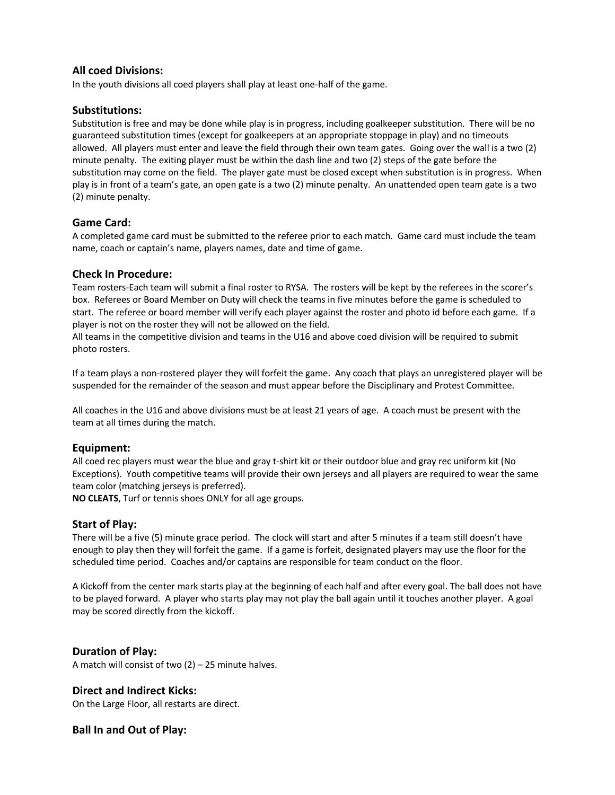#### **All coed Divisions:**

In the youth divisions all coed players shall play at least one-half of the game.

#### **Substitutions:**

Substitution is free and may be done while play is in progress, including goalkeeper substitution. There will be no guaranteed substitution times (except for goalkeepers at an appropriate stoppage in play) and no timeouts allowed. All players must enter and leave the field through their own team gates. Going over the wall is a two (2) minute penalty. The exiting player must be within the dash line and two (2) steps of the gate before the substitution may come on the field. The player gate must be closed except when substitution is in progress. When play is in front of a team's gate, an open gate is a two (2) minute penalty. An unattended open team gate is a two (2) minute penalty.

## **Game Card:**

A completed game card must be submitted to the referee prior to each match. Game card must include the team name, coach or captain's name, players names, date and time of game.

#### **Check In Procedure:**

Team rosters-Each team will submit a final roster to RYSA. The rosters will be kept by the referees in the scorer's box. Referees or Board Member on Duty will check the teams in five minutes before the game is scheduled to start. The referee or board member will verify each player against the roster and photo id before each game. If a player is not on the roster they will not be allowed on the field.

All teams in the competitive division and teams in the U16 and above coed division will be required to submit photo rosters.

If a team plays a non-rostered player they will forfeit the game. Any coach that plays an unregistered player will be suspended for the remainder of the season and must appear before the Disciplinary and Protest Committee.

All coaches in the U16 and above divisions must be at least 21 years of age. A coach must be present with the team at all times during the match.

#### **Equipment:**

All coed rec players must wear the blue and gray t-shirt kit or their outdoor blue and gray rec uniform kit (No Exceptions). Youth competitive teams will provide their own jerseys and all players are required to wear the same team color (matching jerseys is preferred).

**NO CLEATS**, Turf or tennis shoes ONLY for all age groups.

#### **Start of Play:**

There will be a five (5) minute grace period. The clock will start and after 5 minutes if a team still doesn't have enough to play then they will forfeit the game. If a game is forfeit, designated players may use the floor for the scheduled time period. Coaches and/or captains are responsible for team conduct on the floor.

A Kickoff from the center mark starts play at the beginning of each half and after every goal. The ball does not have to be played forward. A player who starts play may not play the ball again until it touches another player. A goal may be scored directly from the kickoff.

#### **Duration of Play:**

A match will consist of two  $(2)$  – 25 minute halves.

#### **Direct and Indirect Kicks:**

On the Large Floor, all restarts are direct.

#### **Ball In and Out of Play:**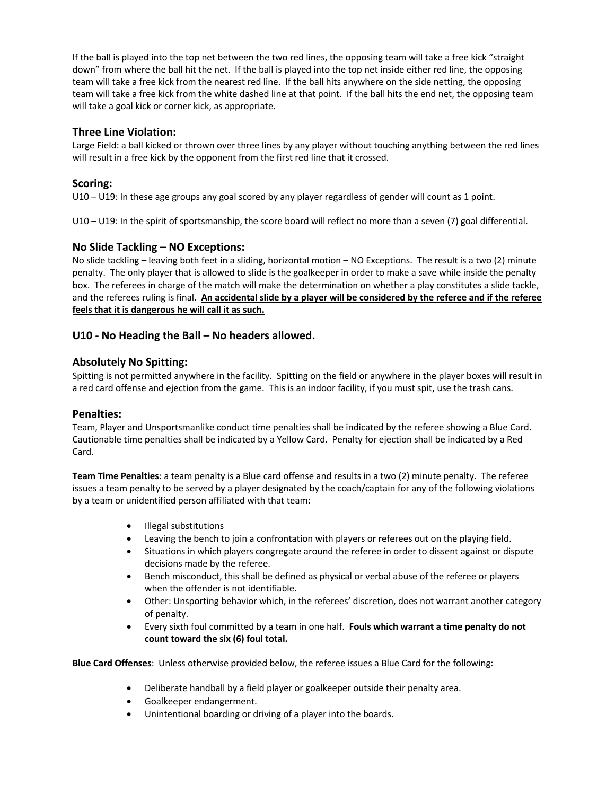If the ball is played into the top net between the two red lines, the opposing team will take a free kick "straight down" from where the ball hit the net. If the ball is played into the top net inside either red line, the opposing team will take a free kick from the nearest red line. If the ball hits anywhere on the side netting, the opposing team will take a free kick from the white dashed line at that point. If the ball hits the end net, the opposing team will take a goal kick or corner kick, as appropriate.

#### **Three Line Violation:**

Large Field: a ball kicked or thrown over three lines by any player without touching anything between the red lines will result in a free kick by the opponent from the first red line that it crossed.

#### **Scoring:**

U10 – U19: In these age groups any goal scored by any player regardless of gender will count as 1 point.

U10 – U19: In the spirit of sportsmanship, the score board will reflect no more than a seven (7) goal differential.

#### **No Slide Tackling – NO Exceptions:**

No slide tackling – leaving both feet in a sliding, horizontal motion – NO Exceptions. The result is a two (2) minute penalty. The only player that is allowed to slide is the goalkeeper in order to make a save while inside the penalty box. The referees in charge of the match will make the determination on whether a play constitutes a slide tackle, and the referees ruling is final. **An accidental slide by a player will be considered by the referee and if the referee feels that it is dangerous he will call it as such.**

#### **U10 - No Heading the Ball – No headers allowed.**

#### **Absolutely No Spitting:**

Spitting is not permitted anywhere in the facility. Spitting on the field or anywhere in the player boxes will result in a red card offense and ejection from the game. This is an indoor facility, if you must spit, use the trash cans.

#### **Penalties:**

Team, Player and Unsportsmanlike conduct time penalties shall be indicated by the referee showing a Blue Card. Cautionable time penalties shall be indicated by a Yellow Card. Penalty for ejection shall be indicated by a Red Card.

**Team Time Penalties**: a team penalty is a Blue card offense and results in a two (2) minute penalty. The referee issues a team penalty to be served by a player designated by the coach/captain for any of the following violations by a team or unidentified person affiliated with that team:

- Illegal substitutions
- Leaving the bench to join a confrontation with players or referees out on the playing field.
- Situations in which players congregate around the referee in order to dissent against or dispute decisions made by the referee.
- Bench misconduct, this shall be defined as physical or verbal abuse of the referee or players when the offender is not identifiable.
- Other: Unsporting behavior which, in the referees' discretion, does not warrant another category of penalty.
- Every sixth foul committed by a team in one half. **Fouls which warrant a time penalty do not count toward the six (6) foul total.**

**Blue Card Offenses**: Unless otherwise provided below, the referee issues a Blue Card for the following:

- Deliberate handball by a field player or goalkeeper outside their penalty area.
- Goalkeeper endangerment.
- Unintentional boarding or driving of a player into the boards.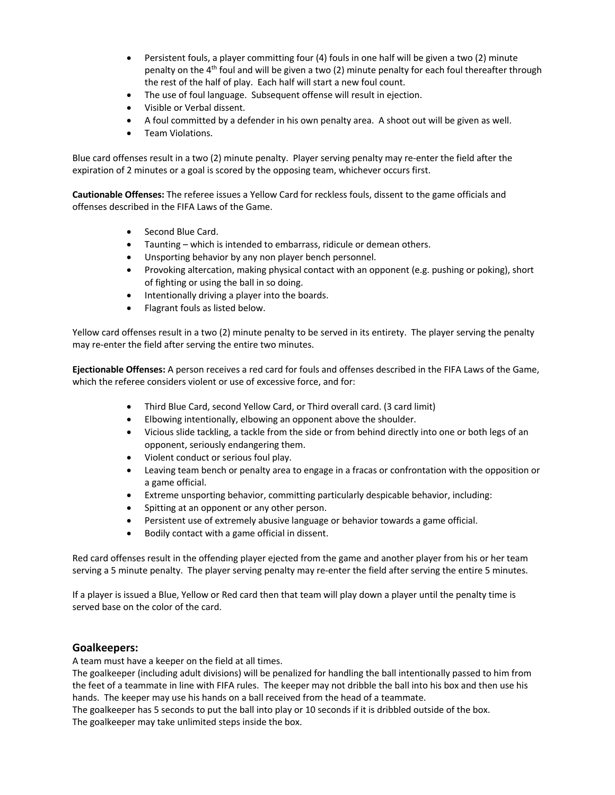- Persistent fouls, a player committing four (4) fouls in one half will be given a two (2) minute penalty on the  $4<sup>th</sup>$  foul and will be given a two (2) minute penalty for each foul thereafter through the rest of the half of play. Each half will start a new foul count.
- The use of foul language. Subsequent offense will result in ejection.
- Visible or Verbal dissent.
- A foul committed by a defender in his own penalty area. A shoot out will be given as well.
- Team Violations.

Blue card offenses result in a two (2) minute penalty. Player serving penalty may re-enter the field after the expiration of 2 minutes or a goal is scored by the opposing team, whichever occurs first.

**Cautionable Offenses:** The referee issues a Yellow Card for reckless fouls, dissent to the game officials and offenses described in the FIFA Laws of the Game.

- Second Blue Card.
- Taunting which is intended to embarrass, ridicule or demean others.
- Unsporting behavior by any non player bench personnel.
- Provoking altercation, making physical contact with an opponent (e.g. pushing or poking), short of fighting or using the ball in so doing.
- Intentionally driving a player into the boards.
- Flagrant fouls as listed below.

Yellow card offenses result in a two (2) minute penalty to be served in its entirety. The player serving the penalty may re-enter the field after serving the entire two minutes.

**Ejectionable Offenses:** A person receives a red card for fouls and offenses described in the FIFA Laws of the Game, which the referee considers violent or use of excessive force, and for:

- Third Blue Card, second Yellow Card, or Third overall card. (3 card limit)
- Elbowing intentionally, elbowing an opponent above the shoulder.
- Vicious slide tackling, a tackle from the side or from behind directly into one or both legs of an opponent, seriously endangering them.
- Violent conduct or serious foul play.
- Leaving team bench or penalty area to engage in a fracas or confrontation with the opposition or a game official.
- Extreme unsporting behavior, committing particularly despicable behavior, including:
- Spitting at an opponent or any other person.
- Persistent use of extremely abusive language or behavior towards a game official.
- Bodily contact with a game official in dissent.

Red card offenses result in the offending player ejected from the game and another player from his or her team serving a 5 minute penalty. The player serving penalty may re-enter the field after serving the entire 5 minutes.

If a player is issued a Blue, Yellow or Red card then that team will play down a player until the penalty time is served base on the color of the card.

#### **Goalkeepers:**

A team must have a keeper on the field at all times.

The goalkeeper (including adult divisions) will be penalized for handling the ball intentionally passed to him from the feet of a teammate in line with FIFA rules. The keeper may not dribble the ball into his box and then use his hands. The keeper may use his hands on a ball received from the head of a teammate.

The goalkeeper has 5 seconds to put the ball into play or 10 seconds if it is dribbled outside of the box. The goalkeeper may take unlimited steps inside the box.